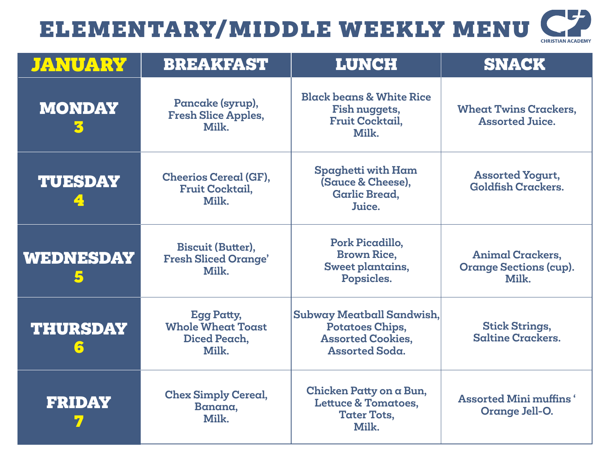## 5 ELEMENTARY/MIDDLE WEEKLY MENU **CHRISTIAN ACADEMY**

| <b>JANUARY</b>       | <b>BREAKFAST</b>                                                       | LUNCH                                                                                             | <b>SNACK</b>                                                      |
|----------------------|------------------------------------------------------------------------|---------------------------------------------------------------------------------------------------|-------------------------------------------------------------------|
| <b>MONDAY</b><br>3   | Pancake (syrup),<br><b>Fresh Slice Apples,</b><br>Milk.                | <b>Black beans &amp; White Rice</b><br>Fish nuggets,<br>Fruit Cocktail,<br>Milk.                  | <b>Wheat Twins Crackers,</b><br><b>Assorted Juice.</b>            |
| <b>TUESDAY</b>       | <b>Cheerios Cereal (GF),</b><br><b>Fruit Cocktail,</b><br>Milk.        | Spaghetti with Ham<br>(Sauce & Cheese),<br><b>Garlic Bread,</b><br>Juice.                         | <b>Assorted Yogurt,</b><br><b>Goldfish Crackers.</b>              |
| <b>WEDNESDAY</b>     | <b>Biscuit (Butter),</b><br><b>Fresh Sliced Orange'</b><br>Milk.       | Pork Picadillo,<br><b>Brown Rice,</b><br>Sweet plantains,<br>Popsicles.                           | <b>Animal Crackers,</b><br><b>Orange Sections (cup).</b><br>Milk. |
| <b>THURSDAY</b><br>6 | <b>Egg Patty,</b><br><b>Whole Wheat Toast</b><br>Diced Peach,<br>Milk. | Subway Meatball Sandwish,<br>Potatoes Chips,<br><b>Assorted Cookies,</b><br><b>Assorted Soda.</b> | <b>Stick Strings,</b><br><b>Saltine Crackers.</b>                 |
| <b>FRIDAY</b>        | <b>Chex Simply Cereal,</b><br>Banana,<br>Milk.                         | Chicken Patty on a Bun,<br><b>Lettuce &amp; Tomatoes,</b><br><b>Tater Tots,</b><br>Milk.          | <b>Assorted Mini muffins</b> '<br>Orange Jell-O.                  |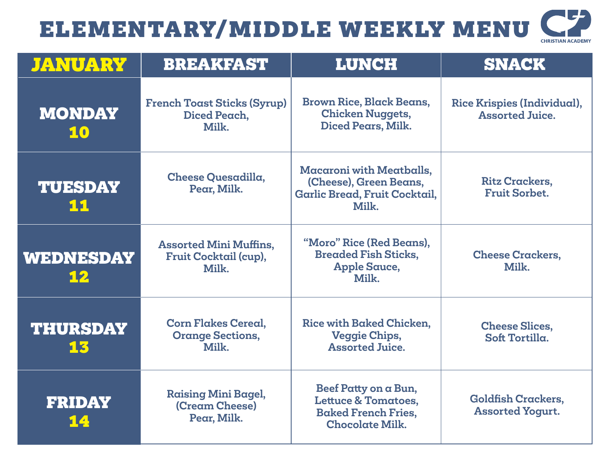## ELEMENTARY/MIDDLE WEEKLY MENU

| <b>CHRISTIAN ACADEMY</b> |
|--------------------------|

| <b>JANUARY</b>         | <b>BREAKFAST</b>                                                | <b>LUNCH</b>                                                                                                   | <b>SNACK</b>                                          |
|------------------------|-----------------------------------------------------------------|----------------------------------------------------------------------------------------------------------------|-------------------------------------------------------|
| <b>MONDAY</b><br>10    | <b>French Toast Sticks (Syrup)</b><br>Diced Peach,<br>Milk.     | <b>Brown Rice, Black Beans,</b><br><b>Chicken Nuggets,</b><br>Diced Pears, Milk.                               | Rice Krispies (Individual),<br><b>Assorted Juice.</b> |
| <b>TUESDAY</b><br>11   | Cheese Quesadilla,<br>Pear, Milk.                               | <b>Macaroni with Meatballs,</b><br>(Cheese), Green Beans,<br>Garlic Bread, Fruit Cocktail,<br>Milk.            | <b>Ritz Crackers,</b><br><b>Fruit Sorbet.</b>         |
| <b>WEDNESDAY</b><br>12 | <b>Assorted Mini Muffins,</b><br>Fruit Cocktail (cup),<br>Milk. | "Moro" Rice (Red Beans),<br><b>Breaded Fish Sticks,</b><br><b>Apple Sauce,</b><br>Milk.                        | <b>Cheese Crackers,</b><br>Milk.                      |
| <b>THURSDAY</b><br>13  | <b>Corn Flakes Cereal,</b><br><b>Orange Sections,</b><br>Milk.  | Rice with Baked Chicken,<br><b>Veggie Chips,</b><br><b>Assorted Juice.</b>                                     | <b>Cheese Slices,</b><br>Soft Tortilla.               |
| <b>FRIDAY</b><br>14    | <b>Raising Mini Bagel,</b><br>(Cream Cheese)<br>Pear, Milk.     | Beef Patty on a Bun,<br><b>Lettuce &amp; Tomatoes,</b><br><b>Baked French Fries,</b><br><b>Chocolate Milk.</b> | <b>Goldfish Crackers,</b><br><b>Assorted Yogurt.</b>  |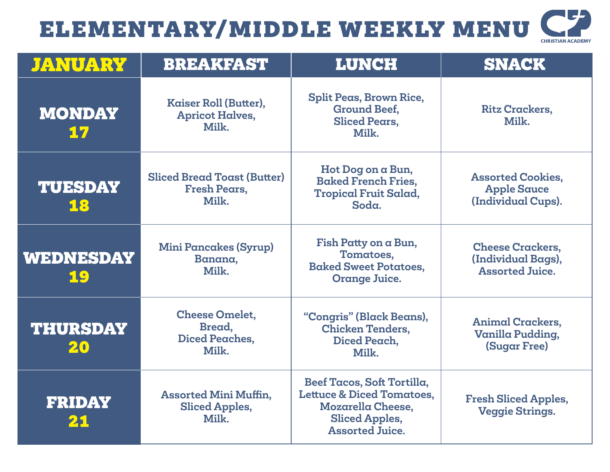## ELEMENTARY/MIDDLE WEEKLY MENU

| <b>CHRISTIAN ACADEMY</b> |  |
|--------------------------|--|

| <b><i>JANUARY</i></b>  | <b>BREAKFAST</b>                                                   | <b>LUNCH</b>                                                                                                                                      | <b>SNACK</b>                                                            |
|------------------------|--------------------------------------------------------------------|---------------------------------------------------------------------------------------------------------------------------------------------------|-------------------------------------------------------------------------|
| <b>MONDAY</b><br>17    | Kaiser Roll (Butter),<br><b>Apricot Halves,</b><br>Milk.           | <b>Split Peas, Brown Rice,</b><br><b>Ground Beef,</b><br><b>Sliced Pears,</b><br>Milk.                                                            | <b>Ritz Crackers,</b><br>Milk.                                          |
| <b>TUESDAY</b><br>18   | <b>Sliced Bread Toast (Butter)</b><br><b>Fresh Pears,</b><br>Milk. | Hot Dog on a Bun,<br><b>Baked French Fries,</b><br><b>Tropical Fruit Salad,</b><br>Soda.                                                          | <b>Assorted Cookies,</b><br><b>Apple Sauce</b><br>(Individual Cups).    |
| <b>WEDNESDAY</b><br>19 | <b>Mini Pancakes (Syrup)</b><br>Banana,<br>Milk.                   | Fish Patty on a Bun,<br>Tomatoes,<br><b>Baked Sweet Potatoes,</b><br><b>Orange Juice.</b>                                                         | <b>Cheese Crackers,</b><br>(Individual Bags),<br><b>Assorted Juice.</b> |
| <b>THURSDAY</b><br>20  | <b>Cheese Omelet,</b><br>Bread,<br><b>Diced Peaches,</b><br>Milk.  | "Congris" (Black Beans),<br><b>Chicken Tenders,</b><br>Diced Peach,<br>Milk.                                                                      | <b>Animal Crackers,</b><br>Vanilla Pudding,<br><b>(Sugar Free)</b>      |
| <b>FRIDAY</b><br>21    | <b>Assorted Mini Muffin,</b><br><b>Sliced Apples,</b><br>Milk.     | Beef Tacos, Soft Tortilla,<br><b>Lettuce &amp; Diced Tomatoes,</b><br><b>Mozarella Cheese,</b><br><b>Sliced Apples,</b><br><b>Assorted Juice.</b> | <b>Fresh Sliced Apples,</b><br><b>Veggie Strings.</b>                   |